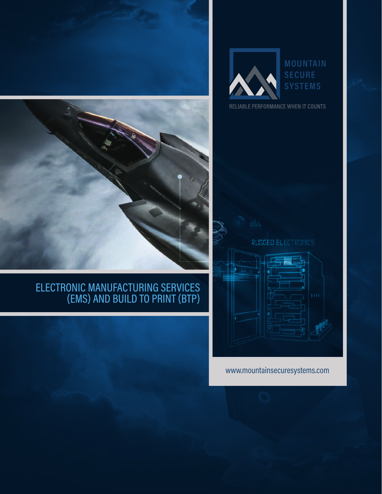



# ELECTRONIC MANUFACTURING SERVICES (EMS) AND BUILD TO PRINT (BTP)





RELIABLE PERFORMANCE WHEN IT COUNTS



www.mountainsecuresystems.com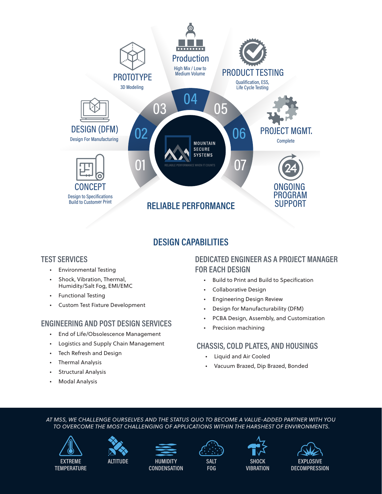

# **DESIGN CAPABILITIES**

## **TEST SERVICES**

- Environmental Testing
- Shock, Vibration, Thermal, Humidity/Salt Fog, EMI/EMC
- Functional Testing
- Custom Test Fixture Development

# **ENGINEERING AND POST DESIGN SERVICES**

- End of Life/Obsolescence Management
- Logistics and Supply Chain Management
- Tech Refresh and Design
- Thermal Analysis
- Structural Analysis
- Modal Analysis

# **DEDICATED ENGINEER AS A PROJECT MANAGER FOR EACH DESIGN**

- Build to Print and Build to Specification
- Collaborative Design
- Engineering Design Review
- Design for Manufacturability (DFM)
- PCBA Design, Assembly, and Customization
- Precision machining

## **CHASSIS, COLD PLATES, AND HOUSINGS**

- Liquid and Air Cooled
- Vacuum Brazed, Dip Brazed, Bonded

#### *AT MSS, WE CHALLENGE OURSELVES AND THE STATUS QUO TO BECOME A VALUE-ADDED PARTNER WITH YOU TO OVERCOME THE MOST CHALLENGING OF APPLICATIONS WITHIN THE HARSHEST OF ENVIRONMENTS.*





**ALTITUDE HUMIDITY CONDENSATION**



**FOG**

**SHOCK VIBRATION**

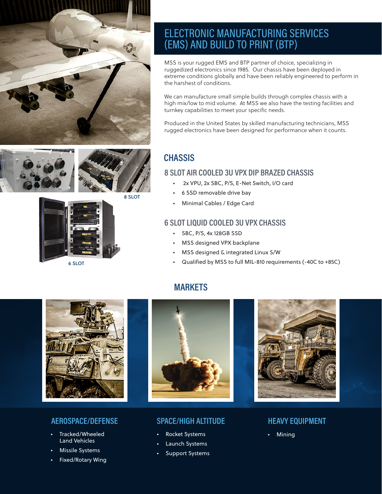





8 SLOT



6 SLOT

# ELECTRONIC MANUFACTURING SERVICES (EMS) AND BUILD TO PRINT (BTP)

MSS is your rugged EMS and BTP partner of choice, specializing in ruggedized electronics since 1985. Our chassis have been deployed in extreme conditions globally and have been reliably engineered to perform in the harshest of conditions.

We can manufacture small simple builds through complex chassis with a high mix/low to mid volume. At MSS we also have the testing facilities and turnkey capabilities to meet your specific needs.

Produced in the United States by skilled manufacturing technicians, MSS rugged electronics have been designed for performance when it counts.

# **CHASSIS**

#### **8 SLOT AIR COOLED 3U VPX DIP BRAZED CHASSIS**

- 2x VPU, 2x SBC, P/S, E-Net Switch, I/O card
- 6 SSD removable drive bay
- Minimal Cables / Edge Card

#### **6 SLOT LIQUID COOLED 3U VPX CHASSIS**

- SBC, P/S, 4x 128GB SSD
- MSS designed VPX backplane
- MSS designed & integrated Linux S/W
- Qualified by MSS to full MIL-810 requirements (-40C to +85C)

# **MARKETS**



## **AEROSPACE/DEFENSE**

- Tracked/Wheeled Land Vehicles
- **Missile Systems**
- Fixed/Rotary Wing



### **SPACE/HIGH ALTITUDE HEAVY EQUIPMENT**

- Rocket Systems Mining
- Launch Systems
- Support Systems